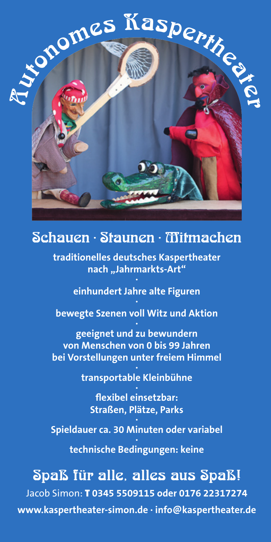# Automes Kaspertheater

## Schauen · Staunen · Mitmachen

**traditionelles deutsches Kaspertheater nach "Jahrmarkts-Art" ·**

> **einhundert Jahre alte Figuren ·**

**bewegte Szenen voll Witz und Aktion**

**· geeignet und zu bewundern von Menschen von 0 bis 99 Jahren bei Vorstellungen unter freiem Himmel · transportable Kleinbühne**

**· flexibel einsetzbar: Straßen, Plätze, Parks**

### **· Spieldauer ca. 30 Minuten oder variabel**

**· technische Bedingungen: keine**

# Spaß für alle, alles aus Spaß!

Jacob Simon: T **0345 5509115 oder 0176 22317274 www.kaspertheater-simon.de · info@kaspertheater.de**